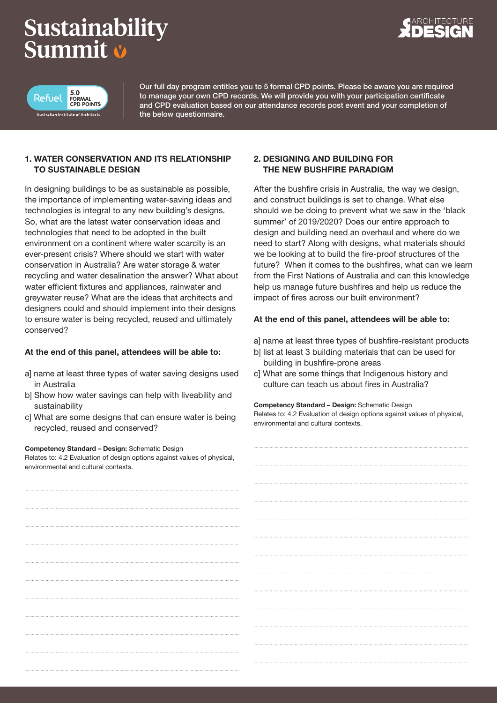# Sustainability Summit v





Our full day program entitles you to 5 formal CPD points. Please be aware you are required to manage your own CPD records. We will provide you with your participation certificate and CPD evaluation based on our attendance records post event and your completion of the below questionnaire.

# 1. WATER CONSERVATION AND ITS RELATIONSHIP TO SUSTAINABLE DESIGN

In designing buildings to be as sustainable as possible, the importance of implementing water-saving ideas and technologies is integral to any new building's designs. So, what are the latest water conservation ideas and technologies that need to be adopted in the built environment on a continent where water scarcity is an ever-present crisis? Where should we start with water conservation in Australia? Are water storage & water recycling and water desalination the answer? What about water efficient fixtures and appliances, rainwater and greywater reuse? What are the ideas that architects and designers could and should implement into their designs to ensure water is being recycled, reused and ultimately conserved?

# At the end of this panel, attendees will be able to:

- a] name at least three types of water saving designs used in Australia
- b] Show how water savings can help with liveability and sustainability
- c] What are some designs that can ensure water is being recycled, reused and conserved?

#### Competency Standard – Design: Schematic Design

Relates to: 4.2 Evaluation of design options against values of physical, environmental and cultural contexts.

# 2. DESIGNING AND BUILDING FOR THE NEW BUSHFIRE PARADIGM

After the bushfire crisis in Australia, the way we design, and construct buildings is set to change. What else should we be doing to prevent what we saw in the 'black summer' of 2019/2020? Does our entire approach to design and building need an overhaul and where do we need to start? Along with designs, what materials should we be looking at to build the fire-proof structures of the future? When it comes to the bushfires, what can we learn from the First Nations of Australia and can this knowledge help us manage future bushfires and help us reduce the impact of fires across our built environment?

# At the end of this panel, attendees will be able to:

- a] name at least three types of bushfire-resistant products
- b] list at least 3 building materials that can be used for building in bushfire-prone areas
- c] What are some things that Indigenous history and culture can teach us about fires in Australia?

Competency Standard – Design: Schematic Design

Relates to: 4.2 Evaluation of design options against values of physical, environmental and cultural contexts.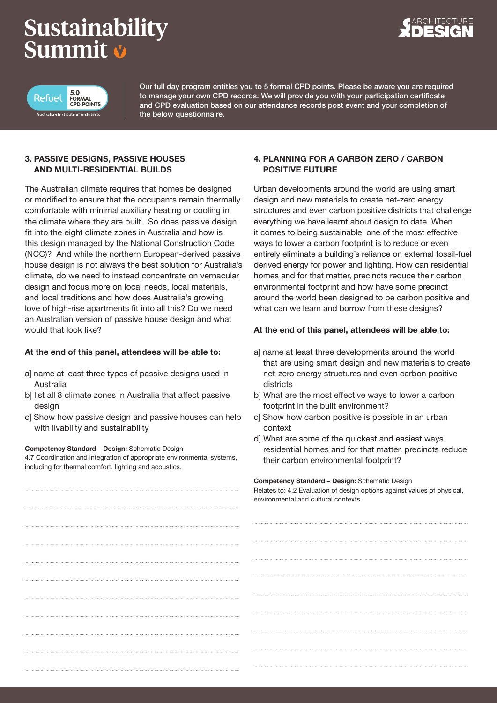# Sustainability Summit v





Our full day program entitles you to 5 formal CPD points. Please be aware you are required to manage your own CPD records. We will provide you with your participation certificate and CPD evaluation based on our attendance records post event and your completion of the below questionnaire.

# 3. PASSIVE DESIGNS, PASSIVE HOUSES AND MULTI-RESIDENTIAL BUILDS

The Australian climate requires that homes be designed or modified to ensure that the occupants remain thermally comfortable with minimal auxiliary heating or cooling in the climate where they are built. So does passive design fit into the eight climate zones in Australia and how is this design managed by the National Construction Code (NCC)? And while the northern European-derived passive house design is not always the best solution for Australia's climate, do we need to instead concentrate on vernacular design and focus more on local needs, local materials, and local traditions and how does Australia's growing love of high-rise apartments fit into all this? Do we need an Australian version of passive house design and what would that look like?

# At the end of this panel, attendees will be able to:

- a] name at least three types of passive designs used in Australia
- b] list all 8 climate zones in Australia that affect passive design
- c] Show how passive design and passive houses can help with livability and sustainability

#### Competency Standard – Design: Schematic Design

4.7 Coordination and integration of appropriate environmental systems, including for thermal comfort, lighting and acoustics.

# 4. PLANNING FOR A CARBON ZERO / CARBON POSITIVE FUTURE

Urban developments around the world are using smart design and new materials to create net-zero energy structures and even carbon positive districts that challenge everything we have learnt about design to date. When it comes to being sustainable, one of the most effective ways to lower a carbon footprint is to reduce or even entirely eliminate a building's reliance on external fossil-fuel derived energy for power and lighting. How can residential homes and for that matter, precincts reduce their carbon environmental footprint and how have some precinct around the world been designed to be carbon positive and what can we learn and borrow from these designs?

# At the end of this panel, attendees will be able to:

- a] name at least three developments around the world that are using smart design and new materials to create net-zero energy structures and even carbon positive districts
- b] What are the most effective ways to lower a carbon footprint in the built environment?
- c] Show how carbon positive is possible in an urban context
- d] What are some of the quickest and easiest ways residential homes and for that matter, precincts reduce their carbon environmental footprint?

#### Competency Standard – Design: Schematic Design

Relates to: 4.2 Evaluation of design options against values of physical. environmental and cultural contexts.